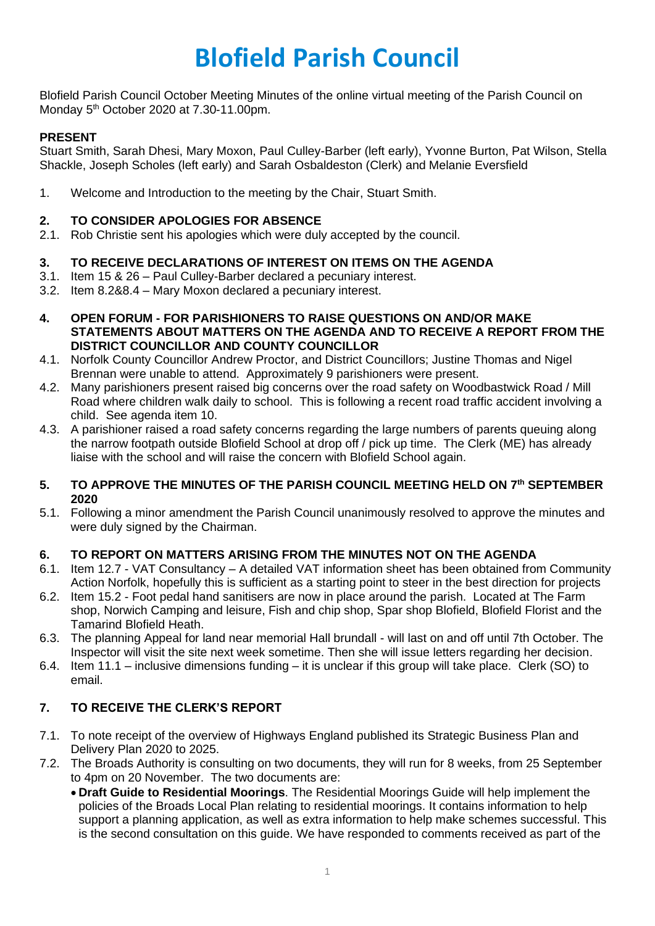# **Blofield Parish Council**

Blofield Parish Council October Meeting Minutes of the online virtual meeting of the Parish Council on Monday 5<sup>th</sup> October 2020 at 7.30-11.00pm.

# **PRESENT**

Stuart Smith, Sarah Dhesi, Mary Moxon, Paul Culley-Barber (left early), Yvonne Burton, Pat Wilson, Stella Shackle, Joseph Scholes (left early) and Sarah Osbaldeston (Clerk) and Melanie Eversfield

1. Welcome and Introduction to the meeting by the Chair, Stuart Smith.

#### **2. TO CONSIDER APOLOGIES FOR ABSENCE**

2.1. Rob Christie sent his apologies which were duly accepted by the council.

## **3. TO RECEIVE DECLARATIONS OF INTEREST ON ITEMS ON THE AGENDA**

- 3.1. Item 15 & 26 Paul Culley-Barber declared a pecuniary interest.
- 3.2. Item 8.2&8.4 Mary Moxon declared a pecuniary interest.
- **4. OPEN FORUM - FOR PARISHIONERS TO RAISE QUESTIONS ON AND/OR MAKE STATEMENTS ABOUT MATTERS ON THE AGENDA AND TO RECEIVE A REPORT FROM THE DISTRICT COUNCILLOR AND COUNTY COUNCILLOR**
- 4.1. Norfolk County Councillor Andrew Proctor, and District Councillors; Justine Thomas and Nigel Brennan were unable to attend. Approximately 9 parishioners were present.
- 4.2. Many parishioners present raised big concerns over the road safety on Woodbastwick Road / Mill Road where children walk daily to school. This is following a recent road traffic accident involving a child. See agenda item 10.
- 4.3. A parishioner raised a road safety concerns regarding the large numbers of parents queuing along the narrow footpath outside Blofield School at drop off / pick up time. The Clerk (ME) has already liaise with the school and will raise the concern with Blofield School again.

## **5. TO APPROVE THE MINUTES OF THE PARISH COUNCIL MEETING HELD ON 7 th SEPTEMBER 2020**

5.1. Following a minor amendment the Parish Council unanimously resolved to approve the minutes and were duly signed by the Chairman.

## **6. TO REPORT ON MATTERS ARISING FROM THE MINUTES NOT ON THE AGENDA**

- 6.1. Item 12.7 VAT Consultancy A detailed VAT information sheet has been obtained from Community Action Norfolk, hopefully this is sufficient as a starting point to steer in the best direction for projects
- 6.2. Item 15.2 Foot pedal hand sanitisers are now in place around the parish. Located at The Farm shop, Norwich Camping and leisure, Fish and chip shop, Spar shop Blofield, Blofield Florist and the Tamarind Blofield Heath.
- 6.3. The planning Appeal for land near memorial Hall brundall will last on and off until 7th October. The Inspector will visit the site next week sometime. Then she will issue letters regarding her decision.
- 6.4. Item 11.1 inclusive dimensions funding it is unclear if this group will take place. Clerk (SO) to email.

## **7. TO RECEIVE THE CLERK'S REPORT**

- 7.1. To note receipt of the overview of Highways England published its Strategic Business Plan and Delivery Plan 2020 to 2025.
- 7.2. The Broads Authority is consulting on two documents, they will run for 8 weeks, from 25 September to 4pm on 20 November. The two documents are:
	- **Draft Guide to Residential Moorings**. The Residential Moorings Guide will help implement the policies of the Broads Local Plan relating to residential moorings. It contains information to help support a planning application, as well as extra information to help make schemes successful. This is the second consultation on this guide. We have responded to comments received as part of the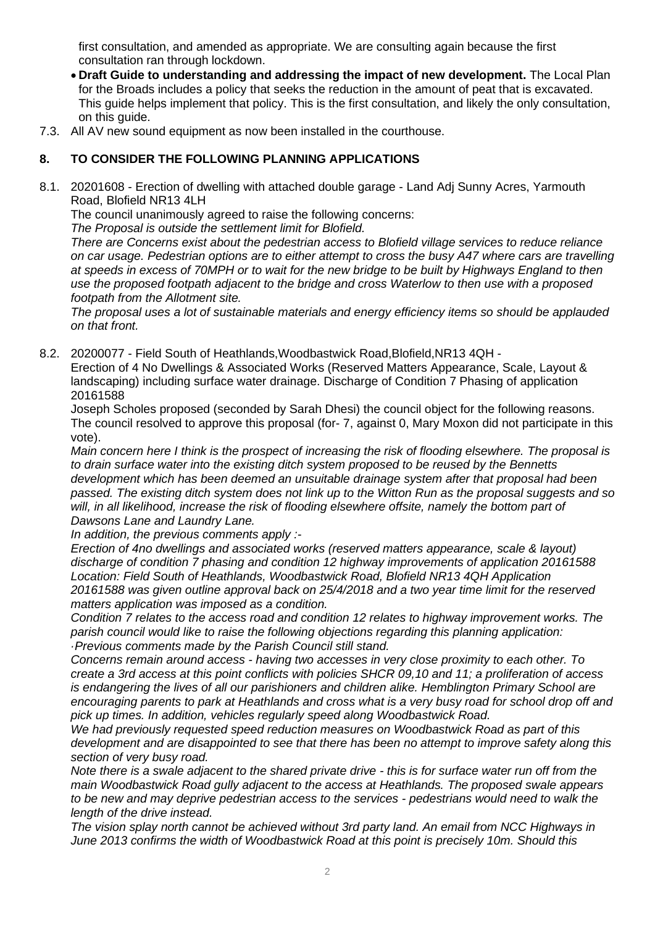first consultation, and amended as appropriate. We are consulting again because the first consultation ran through lockdown.

- **Draft Guide to understanding and addressing the impact of new development.** The Local Plan for the Broads includes a policy that seeks the reduction in the amount of peat that is excavated. This guide helps implement that policy. This is the first consultation, and likely the only consultation, on this guide.
- 7.3. All AV new sound equipment as now been installed in the courthouse.

## **8. TO CONSIDER THE FOLLOWING PLANNING APPLICATIONS**

8.1. 20201608 - Erection of dwelling with attached double garage - Land Adj Sunny Acres, Yarmouth Road, Blofield NR13 4LH

The council unanimously agreed to raise the following concerns:

*The Proposal is outside the settlement limit for Blofield.* 

*There are Concerns exist about the pedestrian access to Blofield village services to reduce reliance on car usage. Pedestrian options are to either attempt to cross the busy A47 where cars are travelling at speeds in excess of 70MPH or to wait for the new bridge to be built by Highways England to then use the proposed footpath adjacent to the bridge and cross Waterlow to then use with a proposed footpath from the Allotment site.*

*The proposal uses a lot of sustainable materials and energy efficiency items so should be applauded on that front.* 

8.2. 20200077 - Field South of Heathlands,Woodbastwick Road,Blofield,NR13 4QH -

Erection of 4 No Dwellings & Associated Works (Reserved Matters Appearance, Scale, Layout & landscaping) including surface water drainage. Discharge of Condition 7 Phasing of application 20161588

Joseph Scholes proposed (seconded by Sarah Dhesi) the council object for the following reasons. The council resolved to approve this proposal (for- 7, against 0, Mary Moxon did not participate in this vote).

*Main concern here I think is the prospect of increasing the risk of flooding elsewhere. The proposal is to drain surface water into the existing ditch system proposed to be reused by the Bennetts development which has been deemed an unsuitable drainage system after that proposal had been passed. The existing ditch system does not link up to the Witton Run as the proposal suggests and so will, in all likelihood, increase the risk of flooding elsewhere offsite, namely the bottom part of Dawsons Lane and Laundry Lane.* 

*In addition, the previous comments apply :-*

*Erection of 4no dwellings and associated works (reserved matters appearance, scale & layout) discharge of condition 7 phasing and condition 12 highway improvements of application 20161588 Location: Field South of Heathlands, Woodbastwick Road, Blofield NR13 4QH Application 20161588 was given outline approval back on 25/4/2018 and a two year time limit for the reserved matters application was imposed as a condition.* 

*Condition 7 relates to the access road and condition 12 relates to highway improvement works. The parish council would like to raise the following objections regarding this planning application: ·Previous comments made by the Parish Council still stand.*

*Concerns remain around access - having two accesses in very close proximity to each other. To create a 3rd access at this point conflicts with policies SHCR 09,10 and 11; a proliferation of access is endangering the lives of all our parishioners and children alike. Hemblington Primary School are encouraging parents to park at Heathlands and cross what is a very busy road for school drop off and pick up times. In addition, vehicles regularly speed along Woodbastwick Road.* 

*We had previously requested speed reduction measures on Woodbastwick Road as part of this development and are disappointed to see that there has been no attempt to improve safety along this section of very busy road.* 

*Note there is a swale adjacent to the shared private drive - this is for surface water run off from the main Woodbastwick Road gully adjacent to the access at Heathlands. The proposed swale appears to be new and may deprive pedestrian access to the services - pedestrians would need to walk the length of the drive instead.* 

*The vision splay north cannot be achieved without 3rd party land. An email from NCC Highways in June 2013 confirms the width of Woodbastwick Road at this point is precisely 10m. Should this*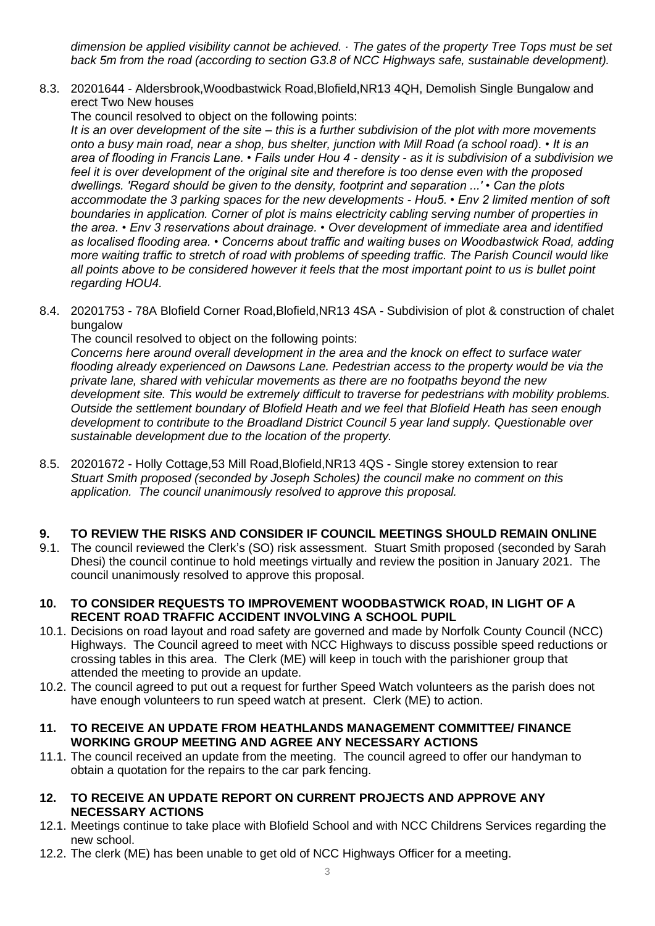*dimension be applied visibility cannot be achieved. · The gates of the property Tree Tops must be set back 5m from the road (according to section G3.8 of NCC Highways safe, sustainable development).*

8.3. 20201644 - Aldersbrook,Woodbastwick Road,Blofield,NR13 4QH, Demolish Single Bungalow and erect Two New houses

The council resolved to object on the following points:

*It is an over development of the site – this is a further subdivision of the plot with more movements onto a busy main road, near a shop, bus shelter, junction with Mill Road (a school road). • It is an area of flooding in Francis Lane. • Fails under Hou 4 - density - as it is subdivision of a subdivision we feel it is over development of the original site and therefore is too dense even with the proposed dwellings. 'Regard should be given to the density, footprint and separation ...' • Can the plots accommodate the 3 parking spaces for the new developments - Hou5. • Env 2 limited mention of soft boundaries in application. Corner of plot is mains electricity cabling serving number of properties in the area. • Env 3 reservations about drainage. • Over development of immediate area and identified as localised flooding area. • Concerns about traffic and waiting buses on Woodbastwick Road, adding more waiting traffic to stretch of road with problems of speeding traffic. The Parish Council would like all points above to be considered however it feels that the most important point to us is bullet point regarding HOU4.*

8.4. 20201753 - 78A Blofield Corner Road,Blofield,NR13 4SA - Subdivision of plot & construction of chalet bungalow

The council resolved to object on the following points:

*Concerns here around overall development in the area and the knock on effect to surface water flooding already experienced on Dawsons Lane. Pedestrian access to the property would be via the private lane, shared with vehicular movements as there are no footpaths beyond the new development site. This would be extremely difficult to traverse for pedestrians with mobility problems. Outside the settlement boundary of Blofield Heath and we feel that Blofield Heath has seen enough development to contribute to the Broadland District Council 5 year land supply. Questionable over sustainable development due to the location of the property.* 

8.5. 20201672 - Holly Cottage,53 Mill Road,Blofield,NR13 4QS - Single storey extension to rear *Stuart Smith proposed (seconded by Joseph Scholes) the council make no comment on this application. The council unanimously resolved to approve this proposal.* 

# **9. TO REVIEW THE RISKS AND CONSIDER IF COUNCIL MEETINGS SHOULD REMAIN ONLINE**

- 9.1. The council reviewed the Clerk's (SO) risk assessment. Stuart Smith proposed (seconded by Sarah Dhesi) the council continue to hold meetings virtually and review the position in January 2021. The council unanimously resolved to approve this proposal.
- **10. TO CONSIDER REQUESTS TO IMPROVEMENT WOODBASTWICK ROAD, IN LIGHT OF A RECENT ROAD TRAFFIC ACCIDENT INVOLVING A SCHOOL PUPIL**
- 10.1. Decisions on road layout and road safety are governed and made by Norfolk County Council (NCC) Highways. The Council agreed to meet with NCC Highways to discuss possible speed reductions or crossing tables in this area. The Clerk (ME) will keep in touch with the parishioner group that attended the meeting to provide an update.
- 10.2. The council agreed to put out a request for further Speed Watch volunteers as the parish does not have enough volunteers to run speed watch at present. Clerk (ME) to action.
- **11. TO RECEIVE AN UPDATE FROM HEATHLANDS MANAGEMENT COMMITTEE/ FINANCE WORKING GROUP MEETING AND AGREE ANY NECESSARY ACTIONS**
- 11.1. The council received an update from the meeting. The council agreed to offer our handyman to obtain a quotation for the repairs to the car park fencing.
- **12. TO RECEIVE AN UPDATE REPORT ON CURRENT PROJECTS AND APPROVE ANY NECESSARY ACTIONS**
- 12.1. Meetings continue to take place with Blofield School and with NCC Childrens Services regarding the new school.
- 12.2. The clerk (ME) has been unable to get old of NCC Highways Officer for a meeting.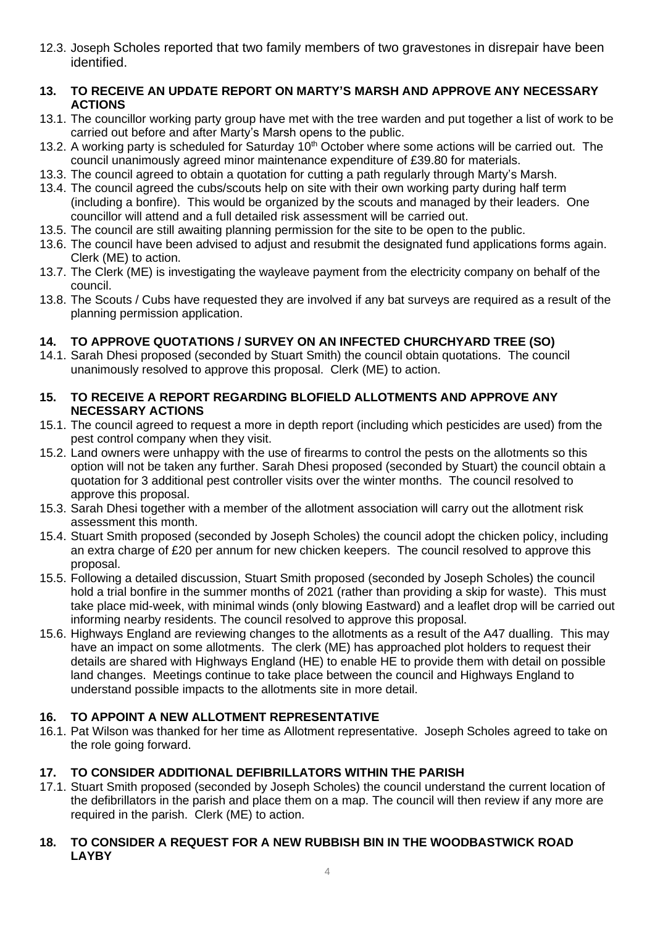12.3. Joseph Scholes reported that two family members of two gravestones in disrepair have been identified.

# **13. TO RECEIVE AN UPDATE REPORT ON MARTY'S MARSH AND APPROVE ANY NECESSARY ACTIONS**

- 13.1. The councillor working party group have met with the tree warden and put together a list of work to be carried out before and after Marty's Marsh opens to the public.
- 13.2. A working party is scheduled for Saturday  $10<sup>th</sup>$  October where some actions will be carried out. The council unanimously agreed minor maintenance expenditure of £39.80 for materials.
- 13.3. The council agreed to obtain a quotation for cutting a path regularly through Marty's Marsh.
- 13.4. The council agreed the cubs/scouts help on site with their own working party during half term (including a bonfire). This would be organized by the scouts and managed by their leaders. One councillor will attend and a full detailed risk assessment will be carried out.
- 13.5. The council are still awaiting planning permission for the site to be open to the public.
- 13.6. The council have been advised to adjust and resubmit the designated fund applications forms again. Clerk (ME) to action.
- 13.7. The Clerk (ME) is investigating the wayleave payment from the electricity company on behalf of the council.
- 13.8. The Scouts / Cubs have requested they are involved if any bat surveys are required as a result of the planning permission application.

# **14. TO APPROVE QUOTATIONS / SURVEY ON AN INFECTED CHURCHYARD TREE (SO)**

- 14.1. Sarah Dhesi proposed (seconded by Stuart Smith) the council obtain quotations. The council unanimously resolved to approve this proposal. Clerk (ME) to action.
- **15. TO RECEIVE A REPORT REGARDING BLOFIELD ALLOTMENTS AND APPROVE ANY NECESSARY ACTIONS**
- 15.1. The council agreed to request a more in depth report (including which pesticides are used) from the pest control company when they visit.
- 15.2. Land owners were unhappy with the use of firearms to control the pests on the allotments so this option will not be taken any further. Sarah Dhesi proposed (seconded by Stuart) the council obtain a quotation for 3 additional pest controller visits over the winter months. The council resolved to approve this proposal.
- 15.3. Sarah Dhesi together with a member of the allotment association will carry out the allotment risk assessment this month.
- 15.4. Stuart Smith proposed (seconded by Joseph Scholes) the council adopt the chicken policy, including an extra charge of £20 per annum for new chicken keepers. The council resolved to approve this proposal.
- 15.5. Following a detailed discussion, Stuart Smith proposed (seconded by Joseph Scholes) the council hold a trial bonfire in the summer months of 2021 (rather than providing a skip for waste). This must take place mid-week, with minimal winds (only blowing Eastward) and a leaflet drop will be carried out informing nearby residents. The council resolved to approve this proposal.
- 15.6. Highways England are reviewing changes to the allotments as a result of the A47 dualling. This may have an impact on some allotments. The clerk (ME) has approached plot holders to request their details are shared with Highways England (HE) to enable HE to provide them with detail on possible land changes. Meetings continue to take place between the council and Highways England to understand possible impacts to the allotments site in more detail.

# **16. TO APPOINT A NEW ALLOTMENT REPRESENTATIVE**

16.1. Pat Wilson was thanked for her time as Allotment representative. Joseph Scholes agreed to take on the role going forward.

# **17. TO CONSIDER ADDITIONAL DEFIBRILLATORS WITHIN THE PARISH**

17.1. Stuart Smith proposed (seconded by Joseph Scholes) the council understand the current location of the defibrillators in the parish and place them on a map. The council will then review if any more are required in the parish. Clerk (ME) to action.

## **18. TO CONSIDER A REQUEST FOR A NEW RUBBISH BIN IN THE WOODBASTWICK ROAD LAYBY**